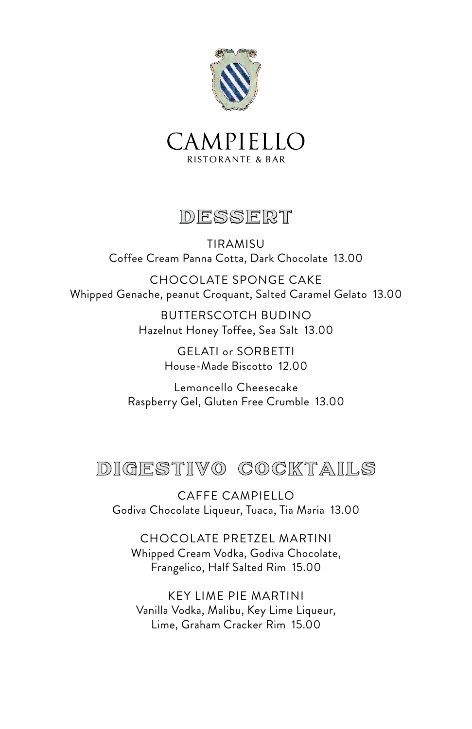



#### DESSERT

TIRAMISU Coffee Cream Panna Cotta, Dark Chocolate 13.00

CHOCOLATE SPONGE CAKE Whipped Genache, peanut Croquant, Salted Caramel Gelato 13.00

> BUTTERSCOTCH BUDINO Hazelnut Honey Toffee, Sea Salt 13.00

> > GELATI or SORBETTI House-Made Biscotto 12.00

Lemoncello Cheesecake Raspberry Gel, Gluten Free Crumble 13.00

# DIGESTIVO COCKTAILS

CAFFE CAMPIELLO Godiva Chocolate Liqueur, Tuaca, Tia Maria 13.00

CHOCOLATE PRETZEL MARTINI Whipped Cream Vodka, Godiva Chocolate, Frangelico, Half Salted Rim 15.00

KEY LIME PIE MARTINI Vanilla Vodka, Malibu, Key Lime Liqueur, Lime, Graham Cracker Rim 15.00